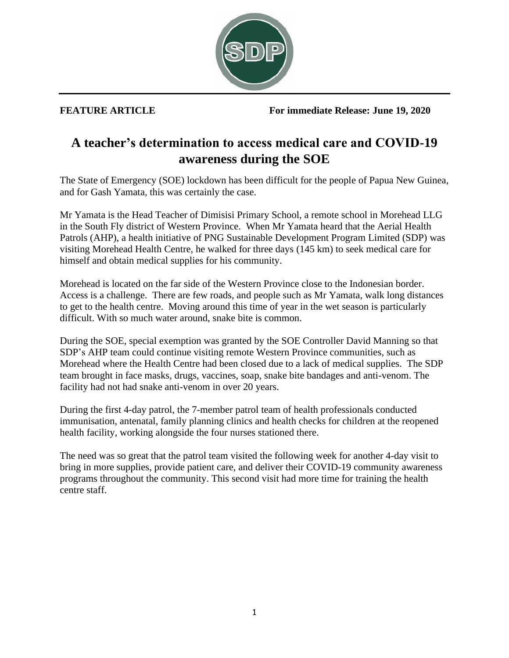

**FEATURE ARTICLE For immediate Release: June 19, 2020**

## **A teacher's determination to access medical care and COVID-19 awareness during the SOE**

The State of Emergency (SOE) lockdown has been difficult for the people of Papua New Guinea, and for Gash Yamata, this was certainly the case.

Mr Yamata is the Head Teacher of Dimisisi Primary School, a remote school in Morehead LLG in the South Fly district of Western Province. When Mr Yamata heard that the Aerial Health Patrols (AHP), a health initiative of PNG Sustainable Development Program Limited (SDP) was visiting Morehead Health Centre, he walked for three days (145 km) to seek medical care for himself and obtain medical supplies for his community.

Morehead is located on the far side of the Western Province close to the Indonesian border. Access is a challenge. There are few roads, and people such as Mr Yamata, walk long distances to get to the health centre. Moving around this time of year in the wet season is particularly difficult. With so much water around, snake bite is common.

During the SOE, special exemption was granted by the SOE Controller David Manning so that SDP's AHP team could continue visiting remote Western Province communities, such as Morehead where the Health Centre had been closed due to a lack of medical supplies. The SDP team brought in face masks, drugs, vaccines, soap, snake bite bandages and anti-venom. The facility had not had snake anti-venom in over 20 years.

During the first 4-day patrol, the 7-member patrol team of health professionals conducted immunisation, antenatal, family planning clinics and health checks for children at the reopened health facility, working alongside the four nurses stationed there.

The need was so great that the patrol team visited the following week for another 4-day visit to bring in more supplies, provide patient care, and deliver their COVID-19 community awareness programs throughout the community. This second visit had more time for training the health centre staff.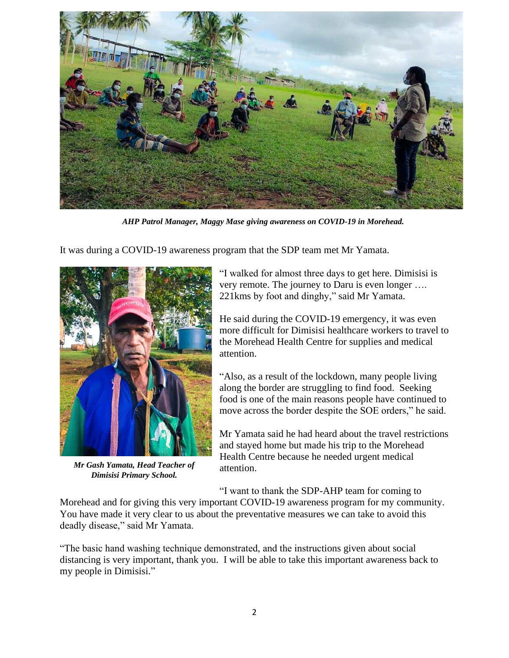

*AHP Patrol Manager, Maggy Mase giving awareness on COVID-19 in Morehead.*

It was during a COVID-19 awareness program that the SDP team met Mr Yamata.



*Mr Gash Yamata, Head Teacher of Dimisisi Primary School.*

"I walked for almost three days to get here. Dimisisi is very remote. The journey to Daru is even longer …. 221kms by foot and dinghy," said Mr Yamata.

He said during the COVID-19 emergency, it was even more difficult for Dimisisi healthcare workers to travel to the Morehead Health Centre for supplies and medical attention.

"Also, as a result of the lockdown, many people living along the border are struggling to find food. Seeking food is one of the main reasons people have continued to move across the border despite the SOE orders," he said.

Mr Yamata said he had heard about the travel restrictions and stayed home but made his trip to the Morehead Health Centre because he needed urgent medical attention.

"I want to thank the SDP-AHP team for coming to

Morehead and for giving this very important COVID-19 awareness program for my community. You have made it very clear to us about the preventative measures we can take to avoid this deadly disease," said Mr Yamata.

"The basic hand washing technique demonstrated, and the instructions given about social distancing is very important, thank you. I will be able to take this important awareness back to my people in Dimisisi."